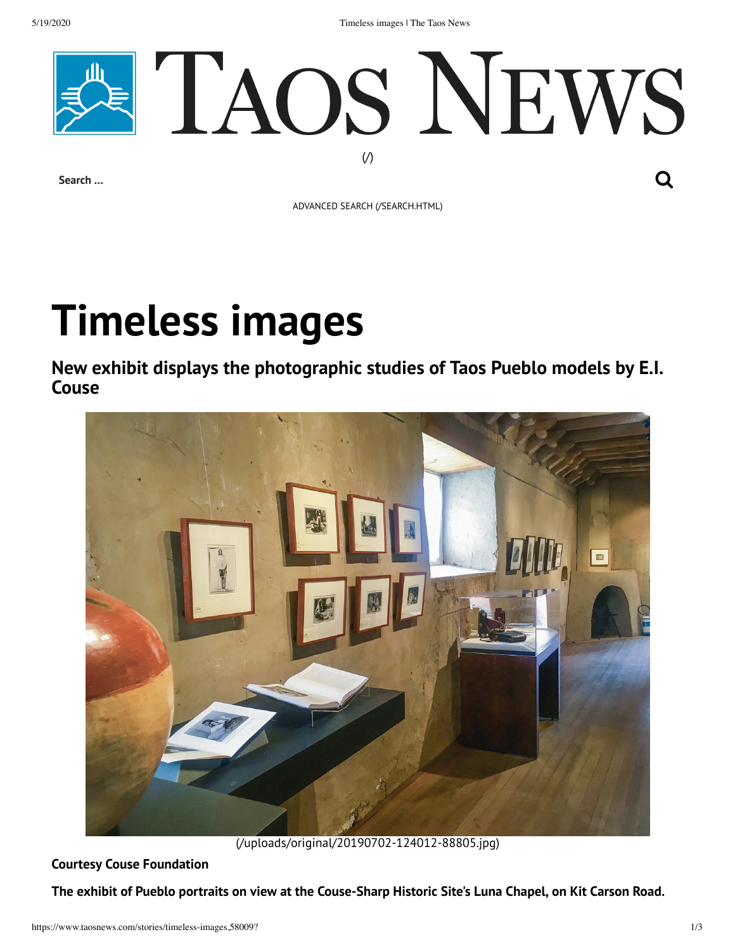5/19/2020 Timeless images | The Taos News



ADVANCED SEARCH [\(/SEARCH.HTML\)](https://www.taosnews.com/search.html)

## **Timeless images**

**New exhibit displays the photographic studies of Taos Pueblo models by E.I. Couse**



[\(/uploads/original/20190702-124012-88805.jpg\)](https://www.taosnews.com/uploads/original/20190702-124012-88805.jpg)

**Courtesy Couse Foundation**

The exhibit of Pueblo portraits on view at the Couse-Sharp Historic Site's Luna Chapel, on Kit Carson Road.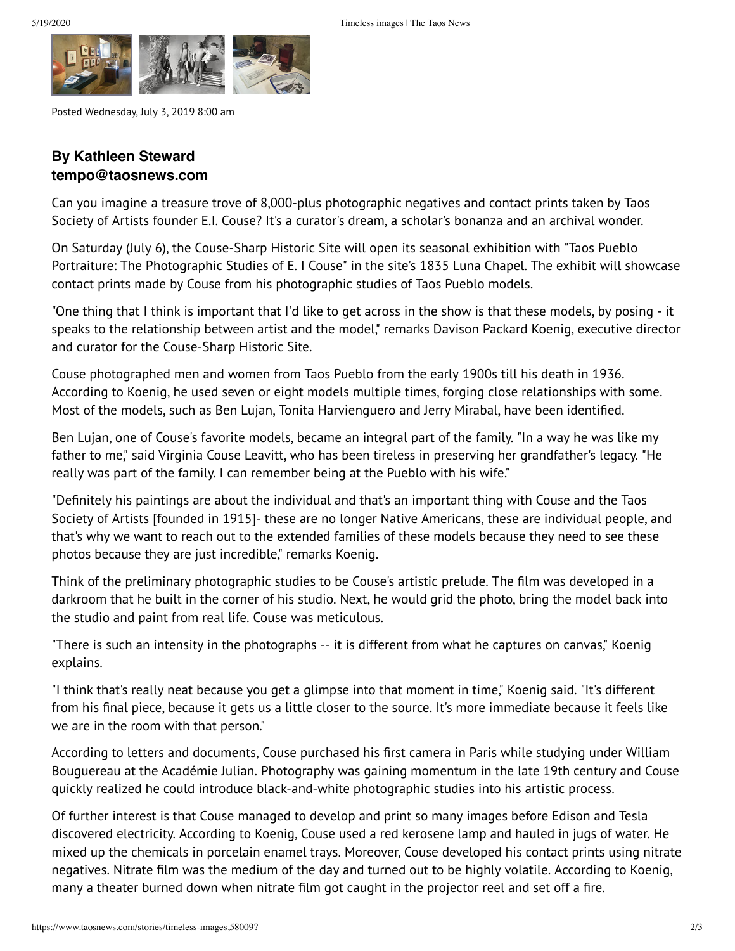

Posted Wednesday, July 3, 2019 8:00 am

## **By Kathleen Steward tempo@taosnews.com**

Can you imagine a treasure trove of 8,000-plus photographic negatives and contact prints taken by Taos Society of Artists founder E.I. Couse? It's a curator's dream, a scholar's bonanza and an archival wonder.

On Saturday (July 6), the Couse-Sharp Historic Site will open its seasonal exhibition with "Taos Pueblo Portraiture: The Photographic Studies of E. I Couse" in the site's 1835 Luna Chapel. The exhibit will showcase contact prints made by Couse from his photographic studies of Taos Pueblo models.

"One thing that I think is important that I'd like to get across in the show is that these models, by posing - it speaks to the relationship between artist and the model," remarks Davison Packard Koenig, executive director and curator for the Couse-Sharp Historic Site.

Couse photographed men and women from Taos Pueblo from the early 1900s till his death in 1936. According to Koenig, he used seven or eight models multiple times, forging close relationships with some. Most of the models, such as Ben Lujan, Tonita Harvienguero and Jerry Mirabal, have been identified.

Ben Lujan, one of Couse's favorite models, became an integral part of the family. "In a way he was like my father to me," said Virginia Couse Leavitt, who has been tireless in preserving her grandfather's legacy. "He really was part of the family. I can remember being at the Pueblo with his wife."

"Definitely his paintings are about the individual and that's an important thing with Couse and the Taos Society of Artists [founded in 1915]- these are no longer Native Americans, these are individual people, and that's why we want to reach out to the extended families of these models because they need to see these photos because they are just incredible," remarks Koenig.

Think of the preliminary photographic studies to be Couse's artistic prelude. The film was developed in a darkroom that he built in the corner of his studio. Next, he would grid the photo, bring the model back into the studio and paint from real life. Couse was meticulous.

"There is such an intensity in the photographs -- it is different from what he captures on canvas," Koenig explains.

"I think that's really neat because you get a glimpse into that moment in time," Koenig said. "It's different from his final piece, because it gets us a little closer to the source. It's more immediate because it feels like we are in the room with that person."

According to letters and documents, Couse purchased his first camera in Paris while studying under William Bouguereau at the Académie Julian. Photography was gaining momentum in the late 19th century and Couse quickly realized he could introduce black-and-white photographic studies into his artistic process.

Of further interest is that Couse managed to develop and print so many images before Edison and Tesla discovered electricity. According to Koenig, Couse used a red kerosene lamp and hauled in jugs of water. He mixed up the chemicals in porcelain enamel trays. Moreover, Couse developed his contact prints using nitrate negatives. Nitrate film was the medium of the day and turned out to be highly volatile. According to Koenig, many a theater burned down when nitrate film got caught in the projector reel and set off a fire.